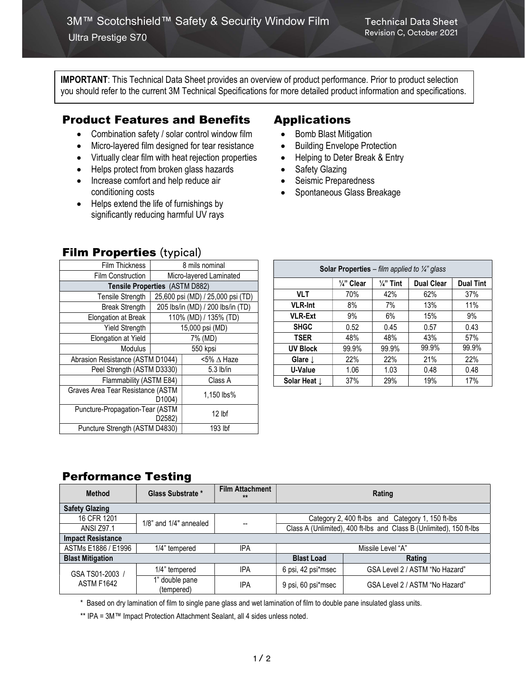IMPORTANT: This Technical Data Sheet provides an overview of product performance. Prior to product selection you should refer to the current 3M Technical Specifications for more detailed product information and specifications.

# Product Features and Benefits

- Combination safety / solar control window film
- Micro-layered film designed for tear resistance
- Virtually clear film with heat rejection properties
- Helps protect from broken glass hazards
- Increase comfort and help reduce air conditioning costs
- Helps extend the life of furnishings by significantly reducing harmful UV rays

# Applications

- Bomb Blast Mitigation
- Building Envelope Protection
- Helping to Deter Break & Entry
- Safety Glazing
- Seismic Preparedness
- Spontaneous Glass Breakage

|                                                          | . .                               |                     |  |  |  |  |
|----------------------------------------------------------|-----------------------------------|---------------------|--|--|--|--|
| <b>Film Thickness</b>                                    | 8 mils nominal                    |                     |  |  |  |  |
| <b>Film Construction</b>                                 | Micro-layered Laminated           |                     |  |  |  |  |
| Tensile Properties (ASTM D882)                           |                                   |                     |  |  |  |  |
| <b>Tensile Strength</b>                                  | 25,600 psi (MD) / 25,000 psi (TD) |                     |  |  |  |  |
| <b>Break Strength</b>                                    | 205 lbs/in (MD) / 200 lbs/in (TD) |                     |  |  |  |  |
| Elongation at Break                                      | 110% (MD) / 135% (TD)             |                     |  |  |  |  |
| <b>Yield Strength</b>                                    | 15,000 psi (MD)                   |                     |  |  |  |  |
| Elongation at Yield                                      | 7% (MD)                           |                     |  |  |  |  |
| <b>Modulus</b>                                           | 550 kpsi                          |                     |  |  |  |  |
| Abrasion Resistance (ASTM D1044)                         |                                   | $5\%$ $\Delta$ Haze |  |  |  |  |
| Peel Strength (ASTM D3330)                               |                                   | 5.3 lb/in           |  |  |  |  |
| Flammability (ASTM E84)                                  |                                   | Class A             |  |  |  |  |
| Graves Area Tear Resistance (ASTM<br>D <sub>1004</sub> ) |                                   | 1,150 lbs%          |  |  |  |  |
| Puncture-Propagation-Tear (ASTM<br>D <sub>2582</sub> )   |                                   | $12$ lbf            |  |  |  |  |
| Puncture Strength (ASTM D4830)                           |                                   | 193 lbf             |  |  |  |  |

| <b>Solar Properties</b> – film applied to $\frac{1}{4}$ glass |                       |                      |                   |                  |  |  |  |
|---------------------------------------------------------------|-----------------------|----------------------|-------------------|------------------|--|--|--|
|                                                               | $\frac{1}{4}$ " Clear | $\frac{1}{4}$ " Tint | <b>Dual Clear</b> | <b>Dual Tint</b> |  |  |  |
| <b>VLT</b>                                                    | 70%                   | 42%                  | 62%               | 37%              |  |  |  |
| <b>VLR-Int</b>                                                | 8%                    | 7%                   | 13%               | 11%              |  |  |  |
| <b>VLR-Ext</b>                                                | 9%                    | 6%                   | 15%               | 9%               |  |  |  |
| <b>SHGC</b>                                                   | 0.52                  | 0.45                 | 0.57              | 0.43             |  |  |  |
| <b>TSER</b>                                                   | 48%                   | 48%                  | 43%               | 57%              |  |  |  |
| <b>UV Block</b>                                               | 99.9%                 | 99.9%                | 99.9%             | 99.9%            |  |  |  |
| Glare $\perp$                                                 | 22%                   | 22%                  | 21%               | 22%              |  |  |  |
| U-Value                                                       | 1.06                  | 1.03                 | 0.48              | 0.48             |  |  |  |
| Solar Heat $\downarrow$                                       | 37%                   | 29%                  | 19%               | 17%              |  |  |  |

## Performance Testing

| <b>Method</b>                        | Glass Substrate *            | <b>Film Attachment</b><br>$**$ | Rating                                                              |                                                   |  |
|--------------------------------------|------------------------------|--------------------------------|---------------------------------------------------------------------|---------------------------------------------------|--|
| <b>Safety Glazing</b>                |                              |                                |                                                                     |                                                   |  |
| 16 CFR 1201                          | $1/8$ " and $1/4$ " annealed |                                |                                                                     | Category 2, 400 ft-lbs and Category 1, 150 ft-lbs |  |
| <b>ANSI Z97.1</b>                    |                              | $\overline{\phantom{m}}$       | Class A (Unlimited), 400 ft-lbs and Class B (Unlimited), 150 ft-lbs |                                                   |  |
| <b>Impact Resistance</b>             |                              |                                |                                                                     |                                                   |  |
| ASTMs E1886 / E1996                  | 1/4" tempered                | <b>IPA</b>                     | Missile Level "A"                                                   |                                                   |  |
| <b>Blast Mitigation</b>              |                              |                                | <b>Blast Load</b>                                                   | Rating                                            |  |
| GSA TS01-2003 /<br><b>ASTM F1642</b> | 1/4" tempered                | IPA                            | 6 psi, 42 psi*msec                                                  | GSA Level 2 / ASTM "No Hazard"                    |  |
|                                      | 1" double pane<br>(tempered) | IPA                            | 9 psi, 60 psi*msec                                                  | GSA Level 2 / ASTM "No Hazard"                    |  |

\* Based on dry lamination of film to single pane glass and wet lamination of film to double pane insulated glass units.

\*\* IPA = 3M™ Impact Protection Attachment Sealant, all 4 sides unless noted.

### **Film Properties (typical)**